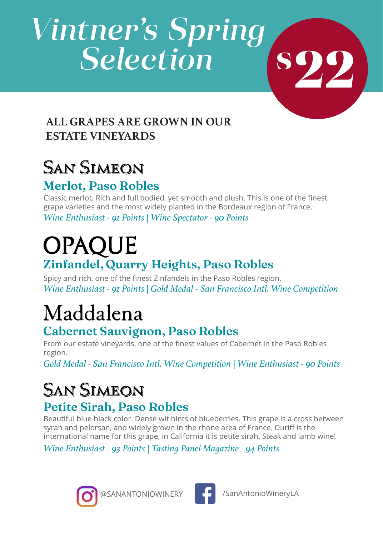# *Vintner's Spring Selection*

### **ALL GRAPES ARE GROWN IN OUR ESTATE VINEYARDS**

# San Simeon

### **Merlot, Paso Robles**

Classic merlot. Rich and full bodied, yet smooth and plush. This is one of the finest grape varieties and the most widely planted in the Bordeaux region of France. *Wine Enthusiast - 91 Points | Wine Spectator - 90 Points*

**OPAQUE** 

### **Zinfandel, Quarry Heights, Paso Robles**

Spicy and rich, one of the finest Zinfandels in the Paso Robles region. *Wine Enthusiast - 91 Points | Gold Medal - San Francisco Intl. Wine Competition*

# Maddalena

### **Cabernet Sauvignon, Paso Robles**

From our estate vineyards, one of the finest values of Cabernet in the Paso Robles region.

*Gold Medal - San Francisco Intl. Wine Competition | Wine Enthusiast - 90 Points*

# **San Simeon**

### **Petite Sirah, Paso Robles**

Beautiful blue black color. Dense wit hints of blueberries. This grape is a cross between syrah and pelorsan, and widely grown in the rhone area of France. Duriff is the international name for this grape, in California it is petite sirah. Steak and lamb wine!

*Wine Enthusiast - 93 Points | Tasting Panel Magazine - 94 Points*





**22 \$**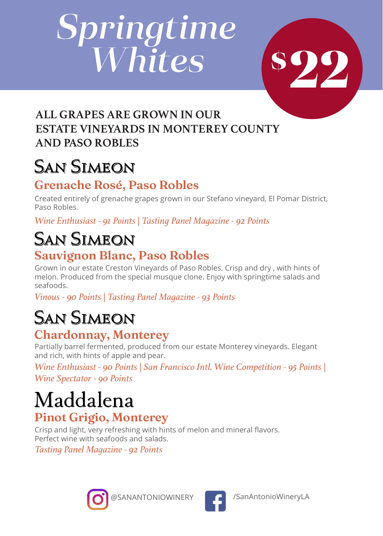# *Springtime Whites*

**22 \$**

### **ALL GRAPES ARE GROWN IN OUR ESTATE VINEYARDS IN MONTEREY COUNTY AND PASO ROBLES**

# San Simeon

### **Grenache Rosé, Paso Robles**

Created entirely of grenache grapes grown in our Stefano vineyard, El Pomar District, Paso Robles.

*Wine Enthusiast - 91 Points | Tasting Panel Magazine - 92 Points*

# San Simeon

### **Sauvignon Blanc, Paso Robles**

Grown in our estate Creston Vineyards of Paso Robles. Crisp and dry , with hints of melon. Produced from the special musque clone. Enjoy with springtime salads and seafoods.

*Vinous - 90 Points | Tasting Panel Magazine - 93 Points*

## **SAN SIMEON**

### **Chardonnay, Monterey**

Partially barrel fermented, produced from our estate Monterey vineyards. Elegant and rich, with hints of apple and pear.

*Wine Enthusiast - 90 Points | San Francisco Intl. Wine Competition - 95 Points | Wine Spectator - 90 Points* 

# Maddalena

### **Pinot Grigio, Monterey**

Crisp and light, very refreshing with hints of melon and mineral flavors. Perfect wine with seafoods and salads.

*Tasting Panel Magazine - 92 Points*



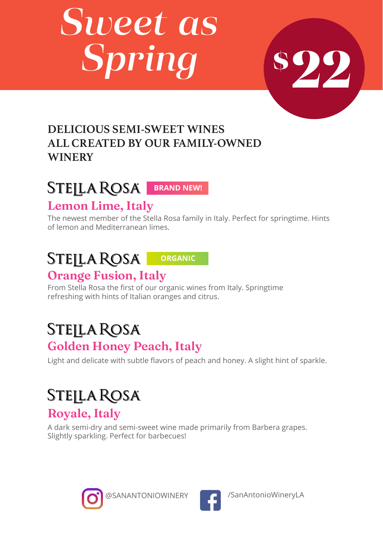# *Sweet as Spring*

# **22 \$**

### **DELICIOUS SEMI-SWEET WINES ALL CREATED BY OUR FAMILY-OWNED WINERY**

### STEILA ROSA BRAND NEW!

### **Lemon Lime, Italy**

The newest member of the Stella Rosa family in Italy. Perfect for springtime. Hints of lemon and Mediterranean limes.

#### **STEJLA ROSA ORGANICOrange Fusion, Italy**

From Stella Rosa the first of our organic wines from Italy. Springtime refreshing with hints of Italian oranges and citrus.

### Stejla Rosa **Golden Honey Peach, Italy**

Light and delicate with subtle flavors of peach and honey. A slight hint of sparkle.

### **STEJLA ROSA Royale, Italy**

A dark semi-dry and semi-sweet wine made primarily from Barbera grapes. Slightly sparkling. Perfect for barbecues!





@SANANTONIOWINERY **/ 2 /SanAntonioWineryLA**